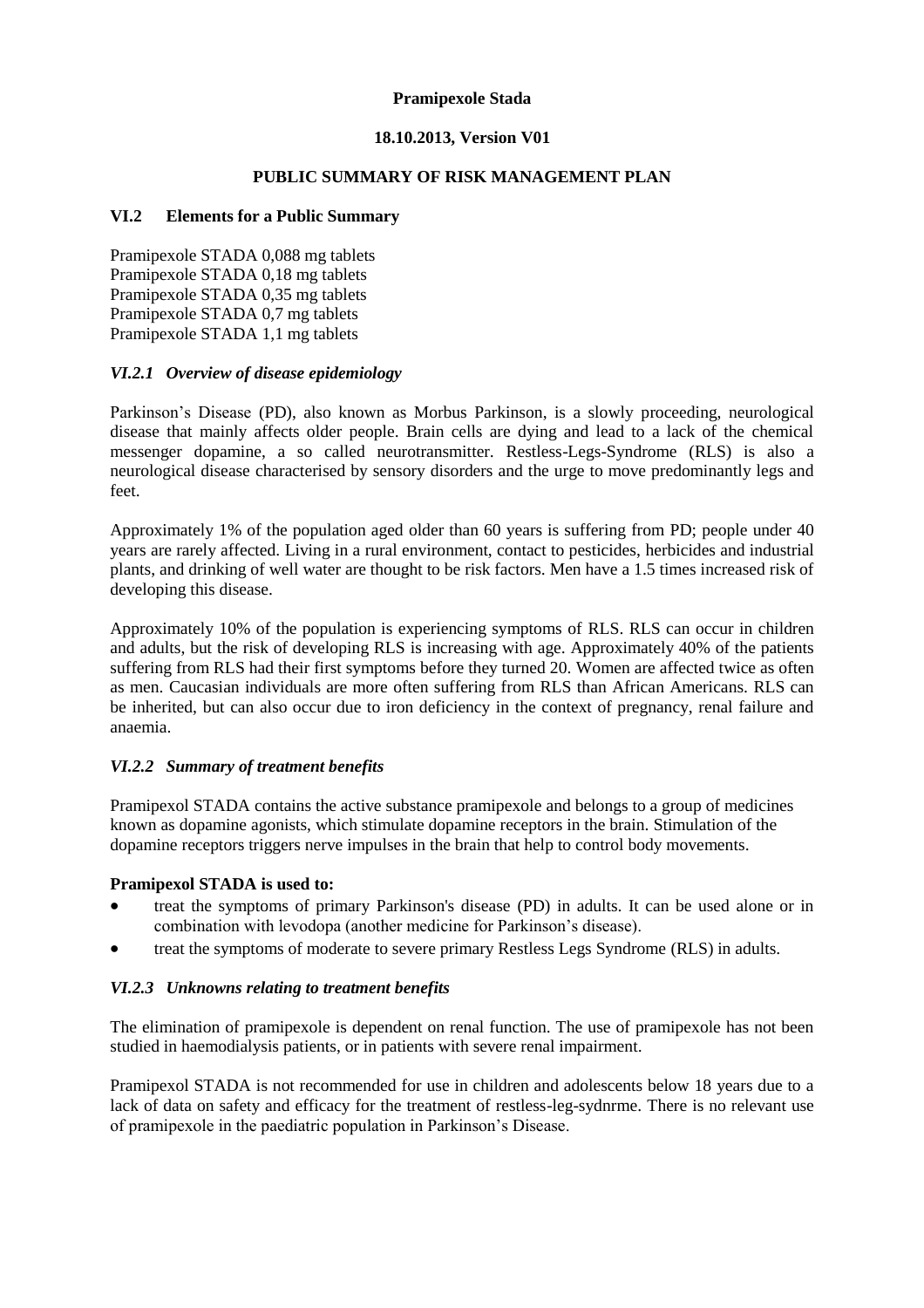### **Pramipexole Stada**

### **18.10.2013, Version V01**

# **PUBLIC SUMMARY OF RISK MANAGEMENT PLAN**

### **VI.2 Elements for a Public Summary**

Pramipexole STADA 0,088 mg tablets Pramipexole STADA 0,18 mg tablets Pramipexole STADA 0,35 mg tablets Pramipexole STADA 0,7 mg tablets Pramipexole STADA 1,1 mg tablets

### *VI.2.1 Overview of disease epidemiology*

Parkinson's Disease (PD), also known as Morbus Parkinson, is a slowly proceeding, neurological disease that mainly affects older people. Brain cells are dying and lead to a lack of the chemical messenger dopamine, a so called neurotransmitter. Restless-Legs-Syndrome (RLS) is also a neurological disease characterised by sensory disorders and the urge to move predominantly legs and feet.

Approximately 1% of the population aged older than 60 years is suffering from PD; people under 40 years are rarely affected. Living in a rural environment, contact to pesticides, herbicides and industrial plants, and drinking of well water are thought to be risk factors. Men have a 1.5 times increased risk of developing this disease.

Approximately 10% of the population is experiencing symptoms of RLS. RLS can occur in children and adults, but the risk of developing RLS is increasing with age. Approximately 40% of the patients suffering from RLS had their first symptoms before they turned 20. Women are affected twice as often as men. Caucasian individuals are more often suffering from RLS than African Americans. RLS can be inherited, but can also occur due to iron deficiency in the context of pregnancy, renal failure and anaemia.

## *VI.2.2 Summary of treatment benefits*

Pramipexol STADA contains the active substance pramipexole and belongs to a group of medicines known as dopamine agonists, which stimulate dopamine receptors in the brain. Stimulation of the dopamine receptors triggers nerve impulses in the brain that help to control body movements.

### **Pramipexol STADA is used to:**

- treat the symptoms of primary Parkinson's disease (PD) in adults. It can be used alone or in combination with levodopa (another medicine for Parkinson's disease).
- treat the symptoms of moderate to severe primary Restless Legs Syndrome (RLS) in adults.

### *VI.2.3 Unknowns relating to treatment benefits*

The elimination of pramipexole is dependent on renal function. The use of pramipexole has not been studied in haemodialysis patients, or in patients with severe renal impairment.

Pramipexol STADA is not recommended for use in children and adolescents below 18 years due to a lack of data on safety and efficacy for the treatment of restless-leg-sydnrme. There is no relevant use of pramipexole in the paediatric population in Parkinson's Disease.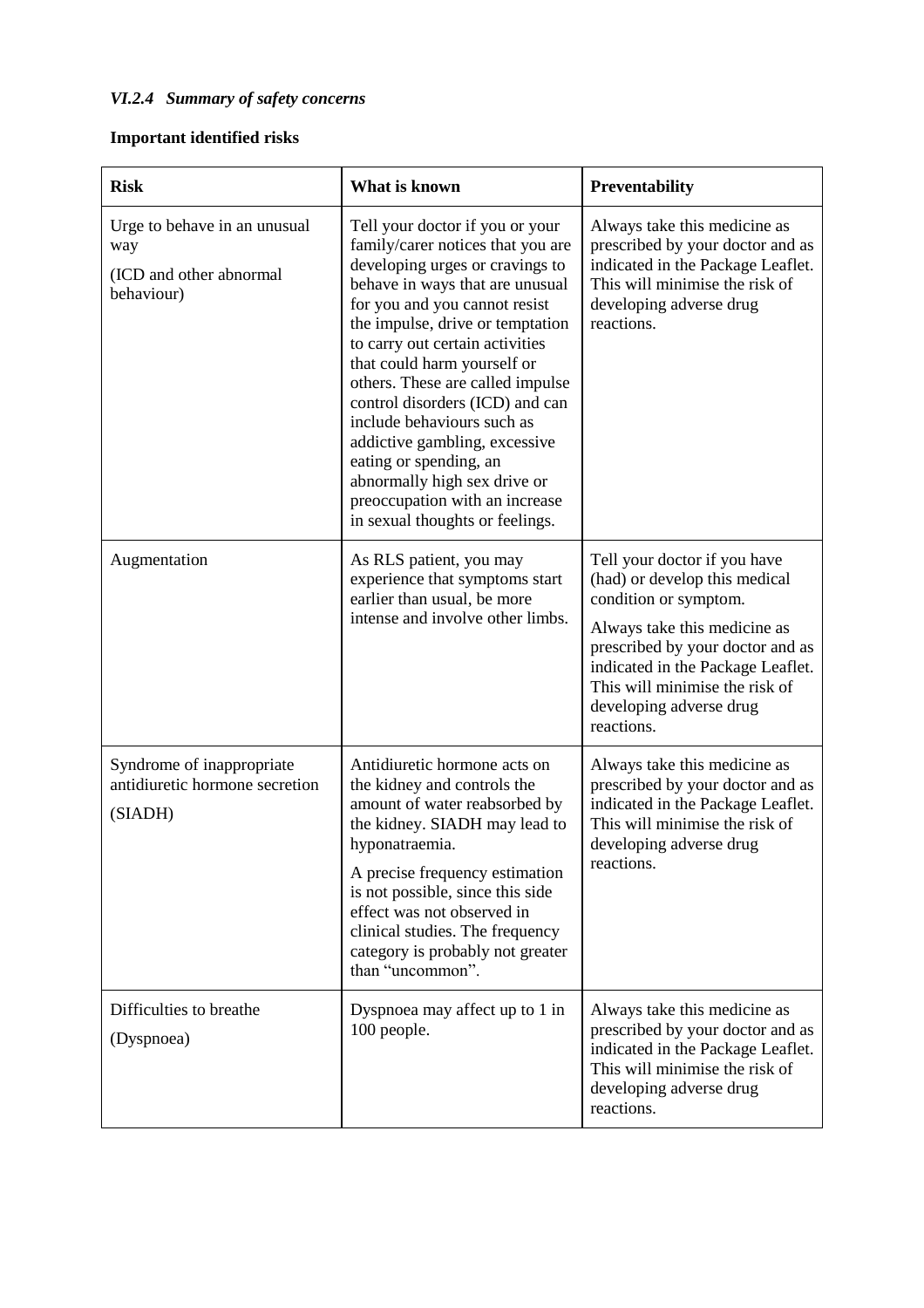# *VI.2.4 Summary of safety concerns*

# **Important identified risks**

| <b>Risk</b>                                                                  | What is known                                                                                                                                                                                                                                                                                                                                                                                                                                                                                                                                          | Preventability                                                                                                                                                                                                                                                             |
|------------------------------------------------------------------------------|--------------------------------------------------------------------------------------------------------------------------------------------------------------------------------------------------------------------------------------------------------------------------------------------------------------------------------------------------------------------------------------------------------------------------------------------------------------------------------------------------------------------------------------------------------|----------------------------------------------------------------------------------------------------------------------------------------------------------------------------------------------------------------------------------------------------------------------------|
| Urge to behave in an unusual<br>way<br>(ICD and other abnormal<br>behaviour) | Tell your doctor if you or your<br>family/carer notices that you are<br>developing urges or cravings to<br>behave in ways that are unusual<br>for you and you cannot resist<br>the impulse, drive or temptation<br>to carry out certain activities<br>that could harm yourself or<br>others. These are called impulse<br>control disorders (ICD) and can<br>include behaviours such as<br>addictive gambling, excessive<br>eating or spending, an<br>abnormally high sex drive or<br>preoccupation with an increase<br>in sexual thoughts or feelings. | Always take this medicine as<br>prescribed by your doctor and as<br>indicated in the Package Leaflet.<br>This will minimise the risk of<br>developing adverse drug<br>reactions.                                                                                           |
| Augmentation                                                                 | As RLS patient, you may<br>experience that symptoms start<br>earlier than usual, be more<br>intense and involve other limbs.                                                                                                                                                                                                                                                                                                                                                                                                                           | Tell your doctor if you have<br>(had) or develop this medical<br>condition or symptom.<br>Always take this medicine as<br>prescribed by your doctor and as<br>indicated in the Package Leaflet.<br>This will minimise the risk of<br>developing adverse drug<br>reactions. |
| Syndrome of inappropriate<br>antidiuretic hormone secretion<br>(SIADH)       | Antidiuretic hormone acts on<br>the kidney and controls the<br>amount of water reabsorbed by<br>the kidney. SIADH may lead to<br>hyponatraemia.<br>A precise frequency estimation<br>is not possible, since this side<br>effect was not observed in<br>clinical studies. The frequency<br>category is probably not greater<br>than "uncommon".                                                                                                                                                                                                         | Always take this medicine as<br>prescribed by your doctor and as<br>indicated in the Package Leaflet.<br>This will minimise the risk of<br>developing adverse drug<br>reactions.                                                                                           |
| Difficulties to breathe<br>(Dyspnoea)                                        | Dyspnoea may affect up to 1 in<br>100 people.                                                                                                                                                                                                                                                                                                                                                                                                                                                                                                          | Always take this medicine as<br>prescribed by your doctor and as<br>indicated in the Package Leaflet.<br>This will minimise the risk of<br>developing adverse drug<br>reactions.                                                                                           |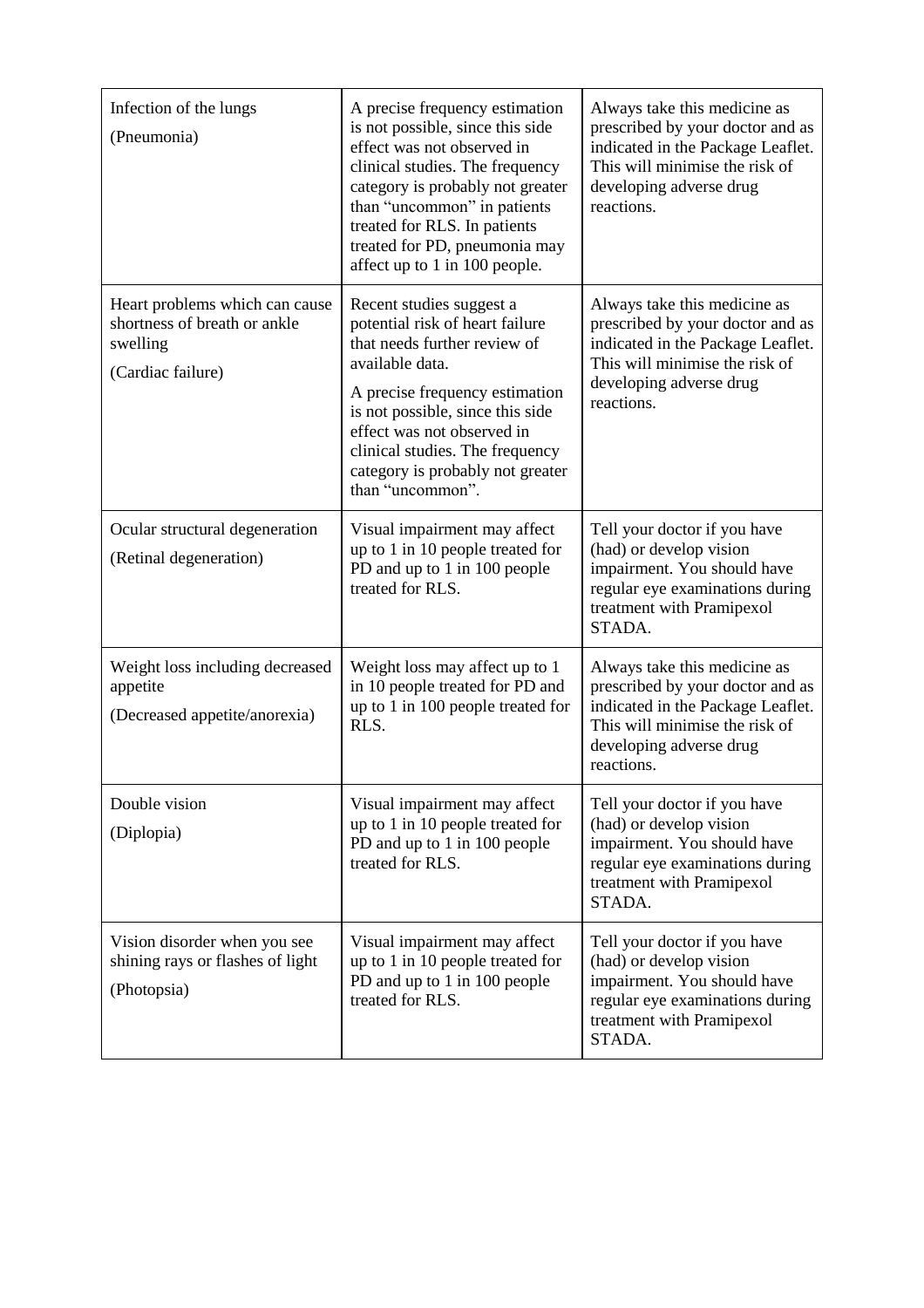| Infection of the lungs<br>(Pneumonia)                                                           | A precise frequency estimation<br>is not possible, since this side<br>effect was not observed in<br>clinical studies. The frequency<br>category is probably not greater<br>than "uncommon" in patients<br>treated for RLS. In patients<br>treated for PD, pneumonia may<br>affect up to 1 in 100 people.      | Always take this medicine as<br>prescribed by your doctor and as<br>indicated in the Package Leaflet.<br>This will minimise the risk of<br>developing adverse drug<br>reactions. |
|-------------------------------------------------------------------------------------------------|---------------------------------------------------------------------------------------------------------------------------------------------------------------------------------------------------------------------------------------------------------------------------------------------------------------|----------------------------------------------------------------------------------------------------------------------------------------------------------------------------------|
| Heart problems which can cause<br>shortness of breath or ankle<br>swelling<br>(Cardiac failure) | Recent studies suggest a<br>potential risk of heart failure<br>that needs further review of<br>available data.<br>A precise frequency estimation<br>is not possible, since this side<br>effect was not observed in<br>clinical studies. The frequency<br>category is probably not greater<br>than "uncommon". | Always take this medicine as<br>prescribed by your doctor and as<br>indicated in the Package Leaflet.<br>This will minimise the risk of<br>developing adverse drug<br>reactions. |
| Ocular structural degeneration<br>(Retinal degeneration)                                        | Visual impairment may affect<br>up to 1 in 10 people treated for<br>PD and up to 1 in 100 people<br>treated for RLS.                                                                                                                                                                                          | Tell your doctor if you have<br>(had) or develop vision<br>impairment. You should have<br>regular eye examinations during<br>treatment with Pramipexol<br>STADA.                 |
| Weight loss including decreased<br>appetite<br>(Decreased appetite/anorexia)                    | Weight loss may affect up to 1<br>in 10 people treated for PD and<br>up to 1 in 100 people treated for<br>RLS.                                                                                                                                                                                                | Always take this medicine as<br>prescribed by your doctor and as<br>indicated in the Package Leaflet.<br>This will minimise the risk of<br>developing adverse drug<br>reactions. |
| Double vision<br>(Diplopia)                                                                     | Visual impairment may affect<br>up to 1 in 10 people treated for<br>PD and up to 1 in 100 people<br>treated for RLS.                                                                                                                                                                                          | Tell your doctor if you have<br>(had) or develop vision<br>impairment. You should have<br>regular eye examinations during<br>treatment with Pramipexol<br>STADA.                 |
| Vision disorder when you see<br>shining rays or flashes of light<br>(Photopsia)                 | Visual impairment may affect<br>up to 1 in 10 people treated for<br>PD and up to 1 in 100 people<br>treated for RLS.                                                                                                                                                                                          | Tell your doctor if you have<br>(had) or develop vision<br>impairment. You should have<br>regular eye examinations during<br>treatment with Pramipexol<br>STADA.                 |